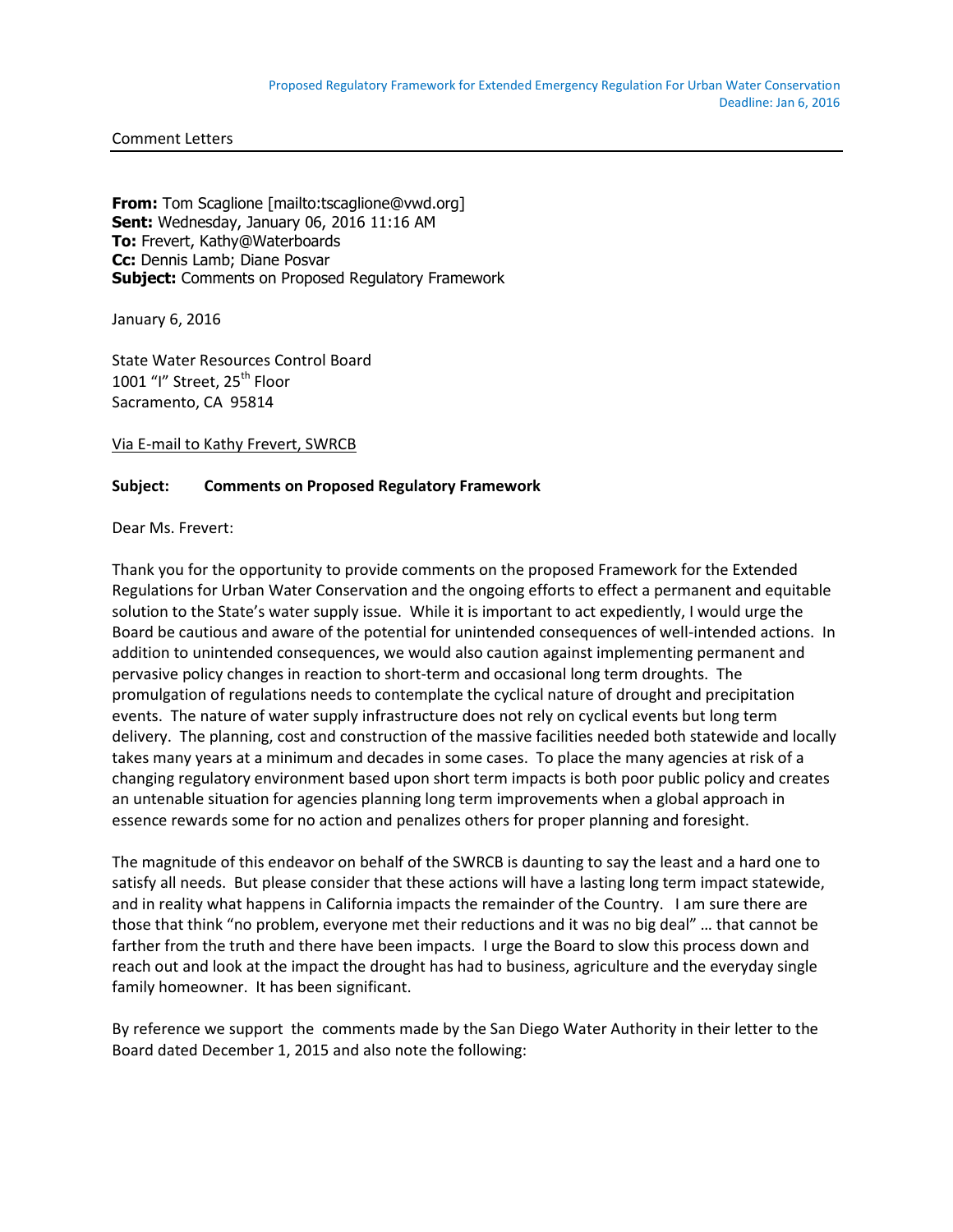Comment Letters

**From:** Tom Scaglione [mailto:tscaglione@vwd.org] **Sent:** Wednesday, January 06, 2016 11:16 AM **To:** Frevert, Kathy@Waterboards **Cc:** Dennis Lamb; Diane Posvar **Subject:** Comments on Proposed Regulatory Framework

January 6, 2016

State Water Resources Control Board 1001 "I" Street, 25<sup>th</sup> Floor Sacramento, CA 95814

Via E-mail to Kathy Frevert, SWRCB

## **Subject: Comments on Proposed Regulatory Framework**

Dear Ms. Frevert:

Thank you for the opportunity to provide comments on the proposed Framework for the Extended Regulations for Urban Water Conservation and the ongoing efforts to effect a permanent and equitable solution to the State's water supply issue. While it is important to act expediently, I would urge the Board be cautious and aware of the potential for unintended consequences of well-intended actions. In addition to unintended consequences, we would also caution against implementing permanent and pervasive policy changes in reaction to short-term and occasional long term droughts. The promulgation of regulations needs to contemplate the cyclical nature of drought and precipitation events. The nature of water supply infrastructure does not rely on cyclical events but long term delivery. The planning, cost and construction of the massive facilities needed both statewide and locally takes many years at a minimum and decades in some cases. To place the many agencies at risk of a changing regulatory environment based upon short term impacts is both poor public policy and creates an untenable situation for agencies planning long term improvements when a global approach in essence rewards some for no action and penalizes others for proper planning and foresight.

The magnitude of this endeavor on behalf of the SWRCB is daunting to say the least and a hard one to satisfy all needs. But please consider that these actions will have a lasting long term impact statewide, and in reality what happens in California impacts the remainder of the Country. I am sure there are those that think "no problem, everyone met their reductions and it was no big deal" … that cannot be farther from the truth and there have been impacts. I urge the Board to slow this process down and reach out and look at the impact the drought has had to business, agriculture and the everyday single family homeowner. It has been significant.

By reference we support the comments made by the San Diego Water Authority in their letter to the Board dated December 1, 2015 and also note the following: